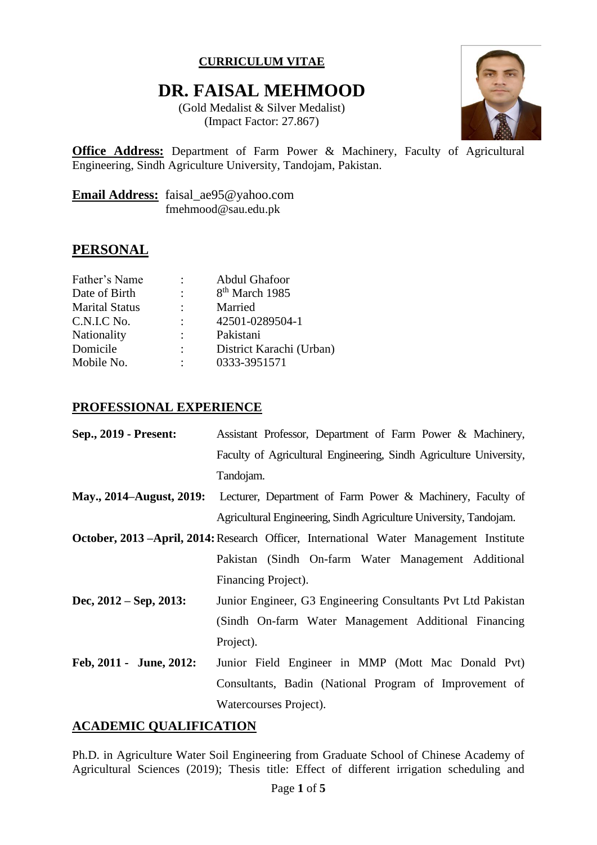### **CURRICULUM VITAE**

# **DR. FAISAL MEHMOOD**

(Gold Medalist & Silver Medalist) (Impact Factor: 27.867)



**Office Address:** Department of Farm Power & Machinery, Faculty of Agricultural Engineering, Sindh Agriculture University, Tandojam, Pakistan.

**Email Address:** faisal\_ae95@yahoo.com fmehmood@sau.edu.pk

# **PERSONAL**

| <b>Abdul Ghafoor</b>       |
|----------------------------|
| 8 <sup>th</sup> March 1985 |
| Married                    |
| 42501-0289504-1            |
| Pakistani                  |
| District Karachi (Urban)   |
| 0333-3951571               |
|                            |

#### **PROFESSIONAL EXPERIENCE**

| Sep., 2019 - Present:                                                                         | Assistant Professor, Department of Farm Power & Machinery,         |
|-----------------------------------------------------------------------------------------------|--------------------------------------------------------------------|
|                                                                                               | Faculty of Agricultural Engineering, Sindh Agriculture University, |
|                                                                                               | Tandojam.                                                          |
| May., 2014–August, 2019:                                                                      | Lecturer, Department of Farm Power & Machinery, Faculty of         |
|                                                                                               | Agricultural Engineering, Sindh Agriculture University, Tandojam.  |
| <b>October, 2013 –April, 2014: Research Officer, International Water Management Institute</b> |                                                                    |
|                                                                                               | Pakistan (Sindh On-farm Water Management Additional                |
|                                                                                               | Financing Project).                                                |
| Dec, $2012 - \text{Sep}, 2013$ :                                                              | Junior Engineer, G3 Engineering Consultants Pvt Ltd Pakistan       |
|                                                                                               | (Sindh On-farm Water Management Additional Financing               |
|                                                                                               | Project).                                                          |
| Feb, 2011 - June, 2012:                                                                       | Junior Field Engineer in MMP (Mott Mac Donald Pvt)                 |
|                                                                                               | Consultants, Badin (National Program of Improvement of             |
|                                                                                               | Watercourses Project).                                             |

### **ACADEMIC QUALIFICATION**

Ph.D. in Agriculture Water Soil Engineering from Graduate School of Chinese Academy of Agricultural Sciences (2019); Thesis title: Effect of different irrigation scheduling and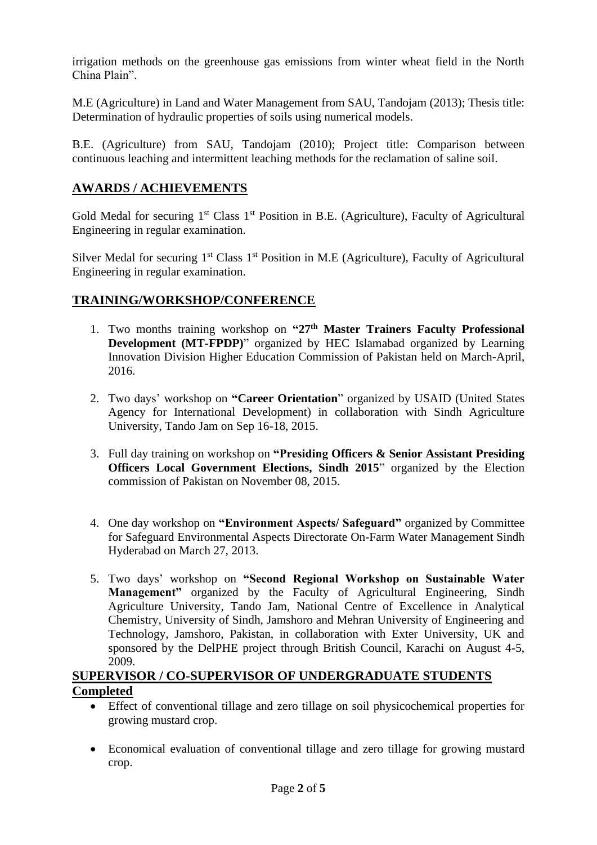irrigation methods on the greenhouse gas emissions from winter wheat field in the North China Plain".

M.E (Agriculture) in Land and Water Management from SAU, Tandojam (2013); Thesis title: Determination of hydraulic properties of soils using numerical models.

B.E. (Agriculture) from SAU, Tandojam (2010); Project title: Comparison between continuous leaching and intermittent leaching methods for the reclamation of saline soil.

# **AWARDS / ACHIEVEMENTS**

Gold Medal for securing  $1<sup>st</sup> Class 1<sup>st</sup> Position in B.E. (Agriculture) The result of the *Agricultural*$ Engineering in regular examination.

Silver Medal for securing  $1<sup>st</sup>$  Class  $1<sup>st</sup>$  Position in M.E (Agriculture), Faculty of Agricultural Engineering in regular examination.

### **TRAINING/WORKSHOP/CONFERENCE**

- 1. Two months training workshop on **"27th Master Trainers Faculty Professional Development (MT-FPDP)**" organized by HEC Islamabad organized by Learning Innovation Division Higher Education Commission of Pakistan held on March-April, 2016.
- 2. Two days' workshop on **"Career Orientation**" organized by USAID (United States Agency for International Development) in collaboration with Sindh Agriculture University, Tando Jam on Sep 16-18, 2015.
- 3. Full day training on workshop on **"Presiding Officers & Senior Assistant Presiding Officers Local Government Elections, Sindh 2015**" organized by the Election commission of Pakistan on November 08, 2015.
- 4. One day workshop on **"Environment Aspects/ Safeguard"** organized by Committee for Safeguard Environmental Aspects Directorate On-Farm Water Management Sindh Hyderabad on March 27, 2013.
- 5. Two days' workshop on **"Second Regional Workshop on Sustainable Water Management"** organized by the Faculty of Agricultural Engineering, Sindh Agriculture University, Tando Jam, National Centre of Excellence in Analytical Chemistry, University of Sindh, Jamshoro and Mehran University of Engineering and Technology, Jamshoro, Pakistan, in collaboration with Exter University, UK and sponsored by the DelPHE project through British Council, Karachi on August 4-5, 2009.

### **SUPERVISOR / CO-SUPERVISOR OF UNDERGRADUATE STUDENTS Completed**

- Effect of conventional tillage and zero tillage on soil physicochemical properties for growing mustard crop.
- Economical evaluation of conventional tillage and zero tillage for growing mustard crop.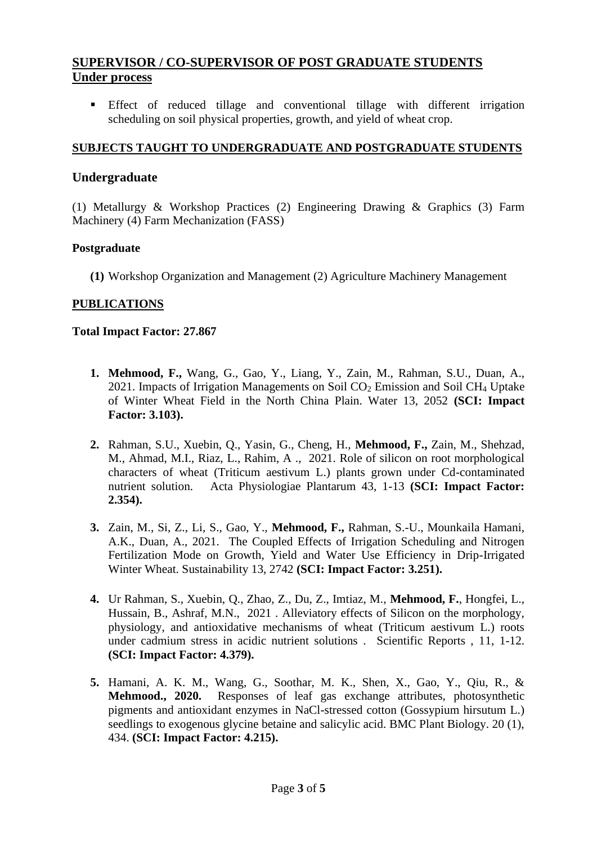# **SUPERVISOR / CO-SUPERVISOR OF POST GRADUATE STUDENTS Under process**

**Effect** of reduced tillage and conventional tillage with different irrigation scheduling on soil physical properties, growth, and yield of wheat crop.

#### **SUBJECTS TAUGHT TO UNDERGRADUATE AND POSTGRADUATE STUDENTS**

#### **Undergraduate**

(1) Metallurgy & Workshop Practices (2) Engineering Drawing & Graphics (3) Farm Machinery (4) Farm Mechanization (FASS)

#### **Postgraduate**

**(1)** Workshop Organization and Management (2) Agriculture Machinery Management

#### **PUBLICATIONS**

#### **Total Impact Factor: 27.867**

- **1. Mehmood, F.,** Wang, G., Gao, Y., Liang, Y., Zain, M., Rahman, S.U., Duan, A., 2021. Impacts of Irrigation Managements on Soil  $CO<sub>2</sub>$  Emission and Soil CH<sub>4</sub> Uptake of Winter Wheat Field in the North China Plain. Water 13, 2052 **(SCI: Impact Factor: 3.103).**
- **2.** Rahman, S.U., Xuebin, Q., Yasin, G., Cheng, H., **Mehmood, F.,** Zain, M., Shehzad, M., Ahmad, M.I., Riaz, L., Rahim, A ., 2021. Role of silicon on root morphological characters of wheat (Triticum aestivum L.) plants grown under Cd-contaminated nutrient solution. Acta Physiologiae Plantarum 43, 1-13 **(SCI: Impact Factor: 2.354).**
- **3.** Zain, M., Si, Z., Li, S., Gao, Y., **Mehmood, F.,** Rahman, S.-U., Mounkaila Hamani, A.K., Duan, A., 2021. The Coupled Effects of Irrigation Scheduling and Nitrogen Fertilization Mode on Growth, Yield and Water Use Efficiency in Drip-Irrigated Winter Wheat. Sustainability 13, 2742 **(SCI: Impact Factor: 3.251).**
- **4.** Ur Rahman, S., Xuebin, Q., Zhao, Z., Du, Z., Imtiaz, M., **Mehmood, F.**, Hongfei, L., Hussain, B., Ashraf, M.N., 2021 . Alleviatory effects of Silicon on the morphology, physiology, and antioxidative mechanisms of wheat (Triticum aestivum L.) roots under cadmium stress in acidic nutrient solutions . Scientific Reports , 11, 1-12. **(SCI: Impact Factor: 4.379).**
- **5.** Hamani, A. K. M., Wang, G., Soothar, M. K., Shen, X., Gao, Y., Qiu, R., & **Mehmood., 2020.** Responses of leaf gas exchange attributes, photosynthetic pigments and antioxidant enzymes in NaCl-stressed cotton (Gossypium hirsutum L.) seedlings to exogenous glycine betaine and salicylic acid. BMC Plant Biology. 20 (1), 434. **(SCI: Impact Factor: 4.215).**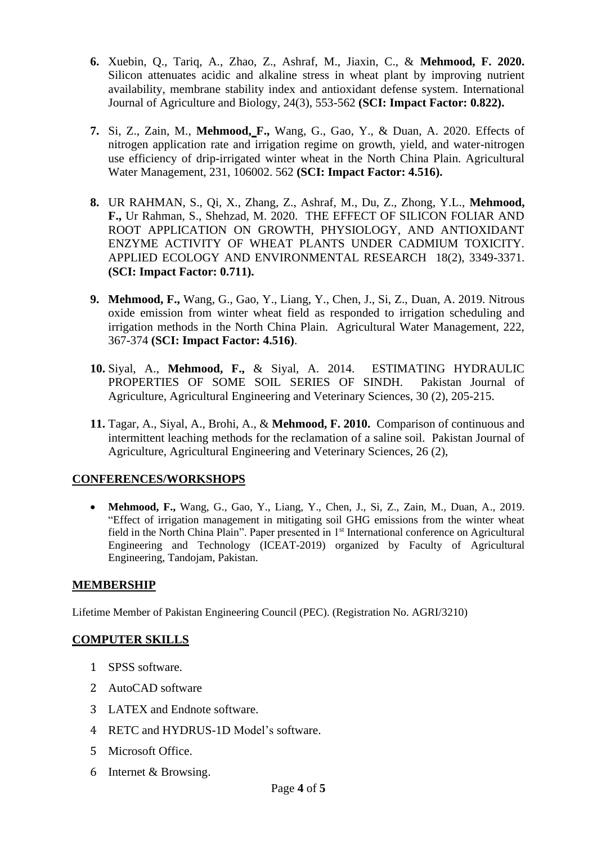- **6.** Xuebin, Q., Tariq, A., Zhao, Z., Ashraf, M., Jiaxin, C., & **Mehmood, F. 2020.**  Silicon attenuates acidic and alkaline stress in wheat plant by improving nutrient availability, membrane stability index and antioxidant defense system. International Journal of Agriculture and Biology, 24(3), 553-562 **(SCI: Impact Factor: 0.822).**
- **7.** Si, Z., Zain, M., **Mehmood, F.,** Wang, G., Gao, Y., & Duan, A. 2020. Effects of nitrogen application rate and irrigation regime on growth, yield, and water-nitrogen use efficiency of drip-irrigated winter wheat in the North China Plain. Agricultural Water Management, 231, 106002. 562 **(SCI: Impact Factor: 4.516).**
- **8.** UR RAHMAN, S., Qi, X., Zhang, Z., Ashraf, M., Du, Z., Zhong, Y.L., **Mehmood, F.,** Ur Rahman, S., Shehzad, M. 2020. THE EFFECT OF SILICON FOLIAR AND ROOT APPLICATION ON GROWTH, PHYSIOLOGY, AND ANTIOXIDANT ENZYME ACTIVITY OF WHEAT PLANTS UNDER CADMIUM TOXICITY. APPLIED ECOLOGY AND ENVIRONMENTAL RESEARCH 18(2), 3349-3371. **(SCI: Impact Factor: 0.711).**
- **9. Mehmood, F.,** Wang, G., Gao, Y., Liang, Y., Chen, J., Si, Z., Duan, A. 2019. Nitrous oxide emission from winter wheat field as responded to irrigation scheduling and irrigation methods in the North China Plain. Agricultural Water Management, 222, 367-374 **(SCI: Impact Factor: 4.516)**.
- **10.** Siyal, A., **Mehmood, F.,** & Siyal, A. 2014. ESTIMATING HYDRAULIC PROPERTIES OF SOME SOIL SERIES OF SINDH. Pakistan Journal of Agriculture, Agricultural Engineering and Veterinary Sciences, 30 (2), 205-215.
- **11.** Tagar, A., Siyal, A., Brohi, A., & **Mehmood, F. 2010.** Comparison of continuous and intermittent leaching methods for the reclamation of a saline soil. Pakistan Journal of Agriculture, Agricultural Engineering and Veterinary Sciences, 26 (2),

### **CONFERENCES/WORKSHOPS**

• **Mehmood, F.,** Wang, G., Gao, Y., Liang, Y., Chen, J., Si, Z., Zain, M., Duan, A., 2019. "Effect of irrigation management in mitigating soil GHG emissions from the winter wheat field in the North China Plain". Paper presented in 1st International conference on Agricultural Engineering and Technology (ICEAT-2019) organized by Faculty of Agricultural Engineering, Tandojam, Pakistan.

### **MEMBERSHIP**

Lifetime Member of Pakistan Engineering Council (PEC). (Registration No. AGRI/3210)

### **COMPUTER SKILLS**

- 1 SPSS software.
- 2 AutoCAD software
- 3 LATEX and Endnote software.
- 4 RETC and HYDRUS-1D Model's software.
- 5 Microsoft Office.
- 6 Internet & Browsing.